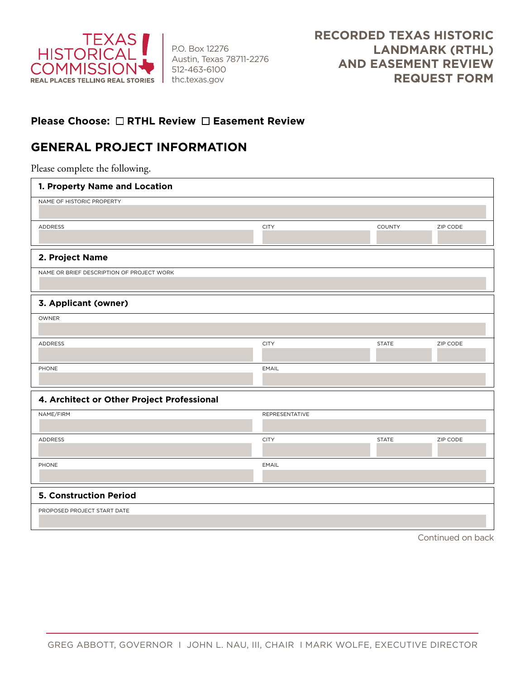

P.O. Box 12276 Austin, Texas 78711-2276 512-463-6100 thc.texas.gov

## **Please Choose: □ RTHL Review □ Easement Review**

## **GENERAL PROJECT INFORMATION**

Please complete the following.

| 1. Property Name and Location              |                       |              |          |  |
|--------------------------------------------|-----------------------|--------------|----------|--|
| NAME OF HISTORIC PROPERTY                  |                       |              |          |  |
| ADDRESS                                    | <b>CITY</b>           | COUNTY       | ZIP CODE |  |
| 2. Project Name                            |                       |              |          |  |
| NAME OR BRIEF DESCRIPTION OF PROJECT WORK  |                       |              |          |  |
| 3. Applicant (owner)                       |                       |              |          |  |
| OWNER                                      |                       |              |          |  |
| ADDRESS                                    | <b>CITY</b>           | <b>STATE</b> | ZIP CODE |  |
| PHONE                                      | <b>EMAIL</b>          |              |          |  |
| 4. Architect or Other Project Professional |                       |              |          |  |
| NAME/FIRM                                  | <b>REPRESENTATIVE</b> |              |          |  |
| ADDRESS                                    | <b>CITY</b>           | <b>STATE</b> | ZIP CODE |  |
| PHONE                                      | EMAIL                 |              |          |  |
| <b>5. Construction Period</b>              |                       |              |          |  |
| PROPOSED PROJECT START DATE                |                       |              |          |  |

Continued on back